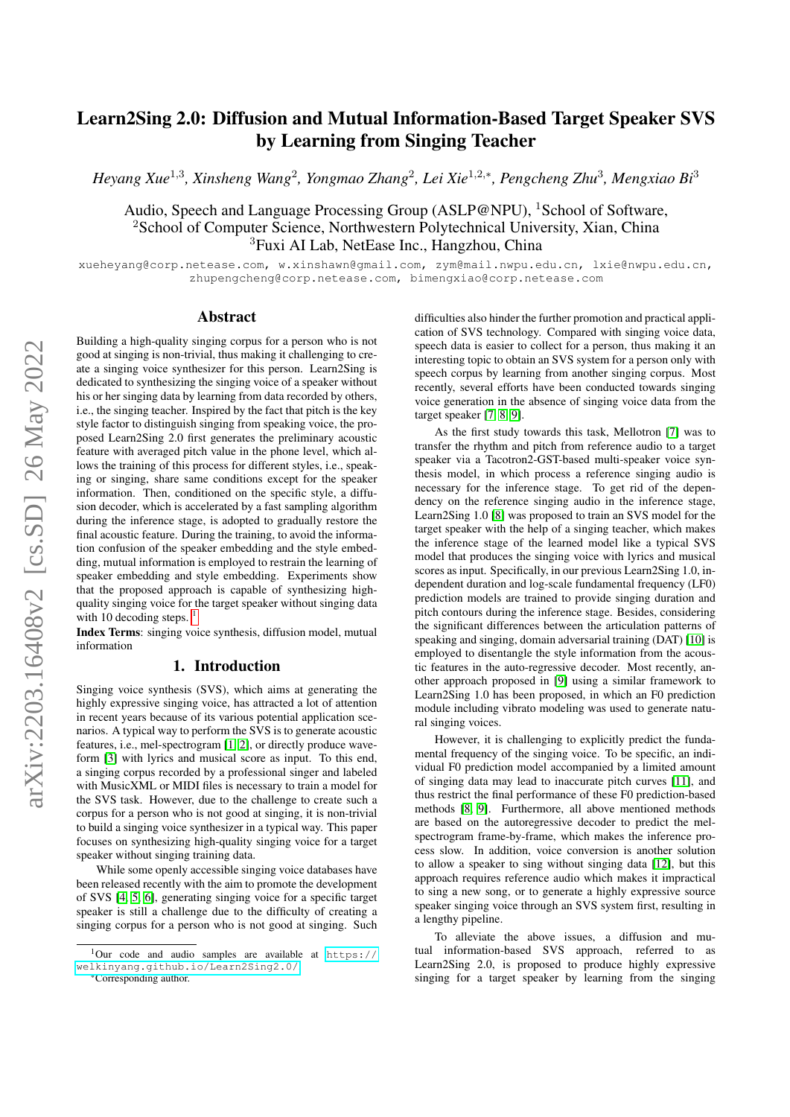# Learn2Sing 2.0: Diffusion and Mutual Information-Based Target Speaker SVS by Learning from Singing Teacher

*Heyang Xue*<sup>1</sup>,<sup>3</sup> *, Xinsheng Wang*<sup>2</sup> *, Yongmao Zhang*<sup>2</sup> *, Lei Xie*<sup>1</sup>,2,<sup>∗</sup> *, Pengcheng Zhu*<sup>3</sup> *, Mengxiao Bi*<sup>3</sup>

Audio, Speech and Language Processing Group (ASLP@NPU), <sup>1</sup>School of Software, <sup>2</sup>School of Computer Science, Northwestern Polytechnical University, Xian, China <sup>3</sup>Fuxi AI Lab, NetEase Inc., Hangzhou, China

xueheyang@corp.netease.com, w.xinshawn@gmail.com, zym@mail.nwpu.edu.cn, lxie@nwpu.edu.cn, zhupengcheng@corp.netease.com, bimengxiao@corp.netease.com

## Abstract

Building a high-quality singing corpus for a person who is not good at singing is non-trivial, thus making it challenging to create a singing voice synthesizer for this person. Learn2Sing is dedicated to synthesizing the singing voice of a speaker without his or her singing data by learning from data recorded by others, i.e., the singing teacher. Inspired by the fact that pitch is the key style factor to distinguish singing from speaking voice, the proposed Learn2Sing 2.0 first generates the preliminary acoustic feature with averaged pitch value in the phone level, which allows the training of this process for different styles, i.e., speaking or singing, share same conditions except for the speaker information. Then, conditioned on the specific style, a diffusion decoder, which is accelerated by a fast sampling algorithm during the inference stage, is adopted to gradually restore the final acoustic feature. During the training, to avoid the information confusion of the speaker embedding and the style embedding, mutual information is employed to restrain the learning of speaker embedding and style embedding. Experiments show that the proposed approach is capable of synthesizing highquality singing voice for the target speaker without singing data with [1](#page-0-0)0 decoding steps.  $<sup>1</sup>$ </sup>

Index Terms: singing voice synthesis, diffusion model, mutual information

# 1. Introduction

Singing voice synthesis (SVS), which aims at generating the highly expressive singing voice, has attracted a lot of attention in recent years because of its various potential application scenarios. A typical way to perform the SVS is to generate acoustic features, i.e., mel-spectrogram [\[1,](#page-4-0) [2\]](#page-4-1), or directly produce waveform [\[3\]](#page-4-2) with lyrics and musical score as input. To this end, a singing corpus recorded by a professional singer and labeled with MusicXML or MIDI files is necessary to train a model for the SVS task. However, due to the challenge to create such a corpus for a person who is not good at singing, it is non-trivial to build a singing voice synthesizer in a typical way. This paper focuses on synthesizing high-quality singing voice for a target speaker without singing training data.

While some openly accessible singing voice databases have been released recently with the aim to promote the development of SVS [\[4,](#page-4-3) [5,](#page-4-4) [6\]](#page-4-5), generating singing voice for a specific target speaker is still a challenge due to the difficulty of creating a singing corpus for a person who is not good at singing. Such

\*Corresponding author.

difficulties also hinder the further promotion and practical application of SVS technology. Compared with singing voice data, speech data is easier to collect for a person, thus making it an interesting topic to obtain an SVS system for a person only with speech corpus by learning from another singing corpus. Most recently, several efforts have been conducted towards singing voice generation in the absence of singing voice data from the target speaker [\[7,](#page-4-6) [8,](#page-4-7) [9\]](#page-4-8).

As the first study towards this task, Mellotron [\[7\]](#page-4-6) was to transfer the rhythm and pitch from reference audio to a target speaker via a Tacotron2-GST-based multi-speaker voice synthesis model, in which process a reference singing audio is necessary for the inference stage. To get rid of the dependency on the reference singing audio in the inference stage, Learn2Sing 1.0 [\[8\]](#page-4-7) was proposed to train an SVS model for the target speaker with the help of a singing teacher, which makes the inference stage of the learned model like a typical SVS model that produces the singing voice with lyrics and musical scores as input. Specifically, in our previous Learn2Sing 1.0, independent duration and log-scale fundamental frequency (LF0) prediction models are trained to provide singing duration and pitch contours during the inference stage. Besides, considering the significant differences between the articulation patterns of speaking and singing, domain adversarial training (DAT) [\[10\]](#page-4-9) is employed to disentangle the style information from the acoustic features in the auto-regressive decoder. Most recently, another approach proposed in [\[9\]](#page-4-8) using a similar framework to Learn2Sing 1.0 has been proposed, in which an F0 prediction module including vibrato modeling was used to generate natural singing voices.

However, it is challenging to explicitly predict the fundamental frequency of the singing voice. To be specific, an individual F0 prediction model accompanied by a limited amount of singing data may lead to inaccurate pitch curves [\[11\]](#page-4-10), and thus restrict the final performance of these F0 prediction-based methods [\[8,](#page-4-7) [9\]](#page-4-8). Furthermore, all above mentioned methods are based on the autoregressive decoder to predict the melspectrogram frame-by-frame, which makes the inference process slow. In addition, voice conversion is another solution to allow a speaker to sing without singing data [\[12\]](#page-4-11), but this approach requires reference audio which makes it impractical to sing a new song, or to generate a highly expressive source speaker singing voice through an SVS system first, resulting in a lengthy pipeline.

To alleviate the above issues, a diffusion and mutual information-based SVS approach, referred to as Learn2Sing 2.0, is proposed to produce highly expressive singing for a target speaker by learning from the singing

<span id="page-0-0"></span> $1$ Our code and audio samples are available at [https://](https://welkinyang.github.io/Learn2Sing2.0/) [welkinyang.github.io/Learn2Sing2.0/](https://welkinyang.github.io/Learn2Sing2.0/).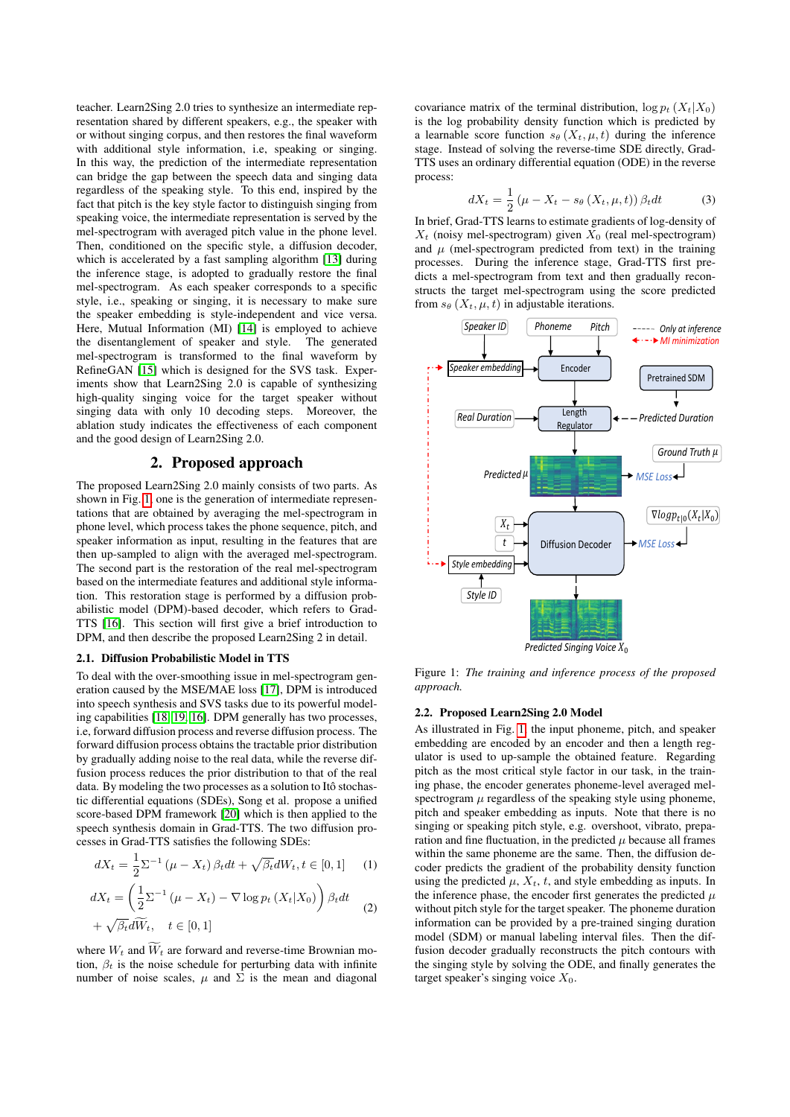teacher. Learn2Sing 2.0 tries to synthesize an intermediate representation shared by different speakers, e.g., the speaker with or without singing corpus, and then restores the final waveform with additional style information, i.e, speaking or singing. In this way, the prediction of the intermediate representation can bridge the gap between the speech data and singing data regardless of the speaking style. To this end, inspired by the fact that pitch is the key style factor to distinguish singing from speaking voice, the intermediate representation is served by the mel-spectrogram with averaged pitch value in the phone level. Then, conditioned on the specific style, a diffusion decoder, which is accelerated by a fast sampling algorithm [\[13\]](#page-4-12) during the inference stage, is adopted to gradually restore the final mel-spectrogram. As each speaker corresponds to a specific style, i.e., speaking or singing, it is necessary to make sure the speaker embedding is style-independent and vice versa. Here, Mutual Information (MI) [\[14\]](#page-4-13) is employed to achieve the disentanglement of speaker and style. The generated mel-spectrogram is transformed to the final waveform by RefineGAN [\[15\]](#page-4-14) which is designed for the SVS task. Experiments show that Learn2Sing 2.0 is capable of synthesizing high-quality singing voice for the target speaker without singing data with only 10 decoding steps. Moreover, the ablation study indicates the effectiveness of each component and the good design of Learn2Sing 2.0.

# 2. Proposed approach

The proposed Learn2Sing 2.0 mainly consists of two parts. As shown in Fig. [1,](#page-1-0) one is the generation of intermediate representations that are obtained by averaging the mel-spectrogram in phone level, which process takes the phone sequence, pitch, and speaker information as input, resulting in the features that are then up-sampled to align with the averaged mel-spectrogram. The second part is the restoration of the real mel-spectrogram based on the intermediate features and additional style information. This restoration stage is performed by a diffusion probabilistic model (DPM)-based decoder, which refers to Grad-TTS [\[16\]](#page-4-15). This section will first give a brief introduction to DPM, and then describe the proposed Learn2Sing 2 in detail.

## 2.1. Diffusion Probabilistic Model in TTS

To deal with the over-smoothing issue in mel-spectrogram generation caused by the MSE/MAE loss [\[17\]](#page-4-16), DPM is introduced into speech synthesis and SVS tasks due to its powerful modeling capabilities [\[18,](#page-4-17) [19,](#page-4-18) [16\]](#page-4-15). DPM generally has two processes, i.e, forward diffusion process and reverse diffusion process. The forward diffusion process obtains the tractable prior distribution by gradually adding noise to the real data, while the reverse diffusion process reduces the prior distribution to that of the real data. By modeling the two processes as a solution to Itô stochastic differential equations (SDEs), Song et al. propose a unified score-based DPM framework [\[20\]](#page-4-19) which is then applied to the speech synthesis domain in Grad-TTS. The two diffusion processes in Grad-TTS satisfies the following SDEs:

$$
dX_t = \frac{1}{2} \Sigma^{-1} (\mu - X_t) \beta_t dt + \sqrt{\beta_t} dW_t, t \in [0, 1]
$$
 (1)  

$$
dX_t = \left(\frac{1}{2} \Sigma^{-1} (\mu - X_t) - \nabla \log p_t (X_t | X_0) \right) \beta_t dt
$$
 (2)  

$$
+ \sqrt{\beta_t} d\widetilde{W}_t, \quad t \in [0, 1]
$$

where  $W_t$  and  $\widetilde{W}_t$  are forward and reverse-time Brownian motion,  $\beta_t$  is the noise schedule for perturbing data with infinite number of noise scales,  $\mu$  and  $\Sigma$  is the mean and diagonal

covariance matrix of the terminal distribution,  $\log p_t(X_t|X_0)$ is the log probability density function which is predicted by a learnable score function  $s_{\theta}(X_t, \mu, t)$  during the inference stage. Instead of solving the reverse-time SDE directly, Grad-TTS uses an ordinary differential equation (ODE) in the reverse process:

$$
dX_t = \frac{1}{2} \left( \mu - X_t - s_\theta \left( X_t, \mu, t \right) \right) \beta_t dt \tag{3}
$$

In brief, Grad-TTS learns to estimate gradients of log-density of  $X_t$  (noisy mel-spectrogram) given  $\bar{X}_0$  (real mel-spectrogram) and  $\mu$  (mel-spectrogram predicted from text) in the training processes. During the inference stage, Grad-TTS first predicts a mel-spectrogram from text and then gradually reconstructs the target mel-spectrogram using the score predicted from  $s_{\theta}$  ( $X_t$ ,  $\mu$ , t) in adjustable iterations.

<span id="page-1-0"></span>

Figure 1: *The training and inference process of the proposed approach.*

#### 2.2. Proposed Learn2Sing 2.0 Model

As illustrated in Fig. [1,](#page-1-0) the input phoneme, pitch, and speaker embedding are encoded by an encoder and then a length regulator is used to up-sample the obtained feature. Regarding pitch as the most critical style factor in our task, in the training phase, the encoder generates phoneme-level averaged melspectrogram  $\mu$  regardless of the speaking style using phoneme, pitch and speaker embedding as inputs. Note that there is no singing or speaking pitch style, e.g. overshoot, vibrato, preparation and fine fluctuation, in the predicted  $\mu$  because all frames within the same phoneme are the same. Then, the diffusion decoder predicts the gradient of the probability density function using the predicted  $\mu$ ,  $X_t$ ,  $t$ , and style embedding as inputs. In the inference phase, the encoder first generates the predicted  $\mu$ without pitch style for the target speaker. The phoneme duration information can be provided by a pre-trained singing duration model (SDM) or manual labeling interval files. Then the diffusion decoder gradually reconstructs the pitch contours with the singing style by solving the ODE, and finally generates the target speaker's singing voice  $X_0$ .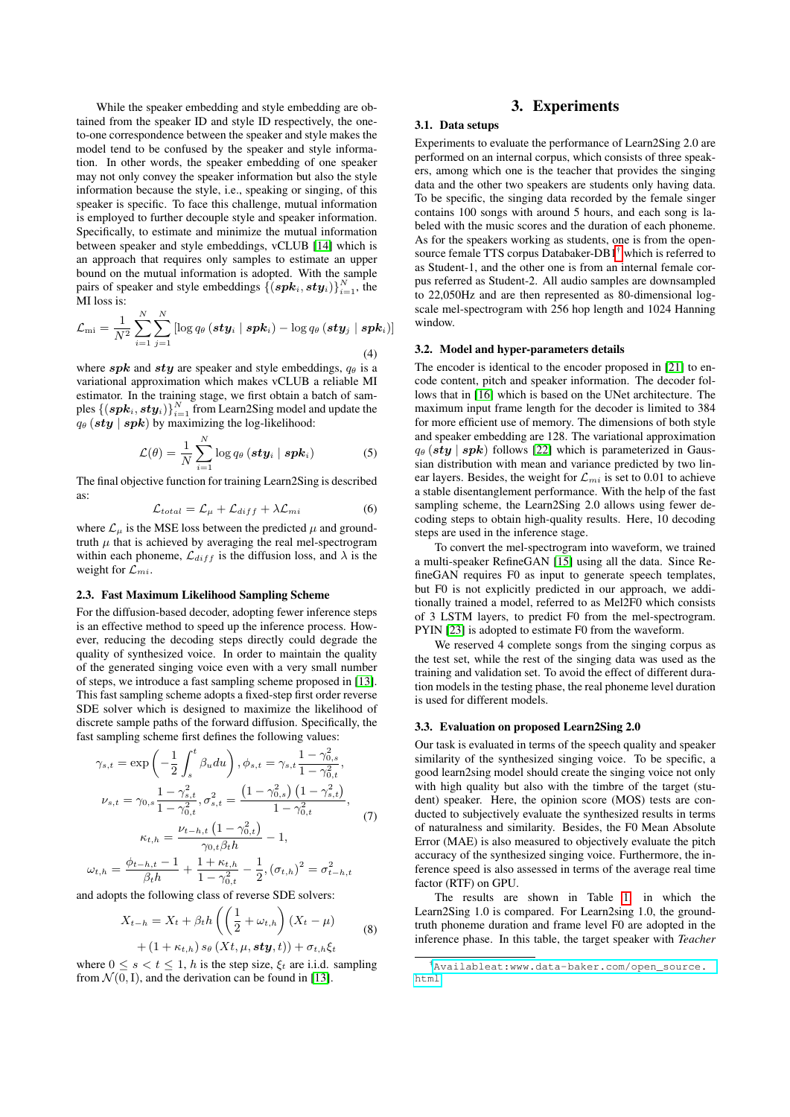While the speaker embedding and style embedding are obtained from the speaker ID and style ID respectively, the oneto-one correspondence between the speaker and style makes the model tend to be confused by the speaker and style information. In other words, the speaker embedding of one speaker may not only convey the speaker information but also the style information because the style, i.e., speaking or singing, of this speaker is specific. To face this challenge, mutual information is employed to further decouple style and speaker information. Specifically, to estimate and minimize the mutual information between speaker and style embeddings, vCLUB [\[14\]](#page-4-13) which is an approach that requires only samples to estimate an upper bound on the mutual information is adopted. With the sample pairs of speaker and style embeddings  $\{(\boldsymbol{spk}_i, \boldsymbol{sty}_i)\}_{i=1}^N$ , the MI loss is:

$$
\mathcal{L}_{\text{mi}} = \frac{1}{N^2} \sum_{i=1}^{N} \sum_{j=1}^{N} \left[ \log q_{\theta} \left( \boldsymbol{s} \boldsymbol{t} \boldsymbol{y}_{i} \mid \boldsymbol{s} \boldsymbol{p} \boldsymbol{k}_{i} \right) - \log q_{\theta} \left( \boldsymbol{s} \boldsymbol{t} \boldsymbol{y}_{j} \mid \boldsymbol{s} \boldsymbol{p} \boldsymbol{k}_{i} \right) \right]
$$
\n(4)

where  $spk$  and  $sty$  are speaker and style embeddings,  $q_{\theta}$  is a variational approximation which makes vCLUB a reliable MI estimator. In the training stage, we first obtain a batch of samples  $\left\{\left(\boldsymbol{s}\boldsymbol{p}\boldsymbol{k}_{i},\boldsymbol{s}\boldsymbol{t}\boldsymbol{y}_{i}\right)\right\}_{i=1}^{N}$  from Learn2Sing model and update the  $q_{\theta}$  (sty | spk) by maximizing the log-likelihood:

$$
\mathcal{L}(\theta) = \frac{1}{N} \sum_{i=1}^{N} \log q_{\theta} (\boldsymbol{sty}_{i} \mid \boldsymbol{spk}_{i})
$$
 (5)

The final objective function for training Learn2Sing is described as:

$$
\mathcal{L}_{total} = \mathcal{L}_{\mu} + \mathcal{L}_{diff} + \lambda \mathcal{L}_{mi} \tag{6}
$$

where  $\mathcal{L}_{\mu}$  is the MSE loss between the predicted  $\mu$  and groundtruth  $\mu$  that is achieved by averaging the real mel-spectrogram within each phoneme,  $\mathcal{L}_{diff}$  is the diffusion loss, and  $\lambda$  is the weight for  $\mathcal{L}_{mi}$ .

### 2.3. Fast Maximum Likelihood Sampling Scheme

For the diffusion-based decoder, adopting fewer inference steps is an effective method to speed up the inference process. However, reducing the decoding steps directly could degrade the quality of synthesized voice. In order to maintain the quality of the generated singing voice even with a very small number of steps, we introduce a fast sampling scheme proposed in [\[13\]](#page-4-12). This fast sampling scheme adopts a fixed-step first order reverse SDE solver which is designed to maximize the likelihood of discrete sample paths of the forward diffusion. Specifically, the fast sampling scheme first defines the following values:

$$
\gamma_{s,t} = \exp\left(-\frac{1}{2}\int_{s}^{t} \beta_{u} du\right), \phi_{s,t} = \gamma_{s,t} \frac{1 - \gamma_{0,s}^{2}}{1 - \gamma_{0,t}^{2}},
$$

$$
\nu_{s,t} = \gamma_{0,s} \frac{1 - \gamma_{s,t}^{2}}{1 - \gamma_{0,t}^{2}}, \sigma_{s,t}^{2} = \frac{\left(1 - \gamma_{0,s}^{2}\right)\left(1 - \gamma_{s,t}^{2}\right)}{1 - \gamma_{0,t}^{2}},
$$

$$
\kappa_{t,h} = \frac{\nu_{t-h,t}\left(1 - \gamma_{0,t}^{2}\right)}{\gamma_{0,t}\beta_{t}h} - 1,
$$

$$
\omega_{t,h} = \frac{\phi_{t-h,t} - 1}{\beta_{t}h} + \frac{1 + \kappa_{t,h}}{1 - \gamma_{0,t}^{2}} - \frac{1}{2}, (\sigma_{t,h})^{2} = \sigma_{t-h,t}^{2}
$$

and adopts the following class of reverse SDE solvers:

$$
X_{t-h} = X_t + \beta_t h \left( \left( \frac{1}{2} + \omega_{t,h} \right) (X_t - \mu) \right)
$$
  
+ 
$$
(1 + \kappa_{t,h}) s_\theta (X_t, \mu, sty, t)) + \sigma_{t,h} \xi_t
$$
 (8)

where  $0 \le s \le t \le 1$ , h is the step size,  $\xi_t$  are i.i.d. sampling from  $\mathcal{N}(0, I)$ , and the derivation can be found in [\[13\]](#page-4-12).

# 3. Experiments

### 3.1. Data setups

Experiments to evaluate the performance of Learn2Sing 2.0 are performed on an internal corpus, which consists of three speakers, among which one is the teacher that provides the singing data and the other two speakers are students only having data. To be specific, the singing data recorded by the female singer contains 100 songs with around 5 hours, and each song is labeled with the music scores and the duration of each phoneme. As for the speakers working as students, one is from the opensource female TTS corpus Databaker-DB1[†](#page-2-0) which is referred to as Student-1, and the other one is from an internal female corpus referred as Student-2. All audio samples are downsampled to 22,050Hz and are then represented as 80-dimensional logscale mel-spectrogram with 256 hop length and 1024 Hanning window.

#### 3.2. Model and hyper-parameters details

The encoder is identical to the encoder proposed in [\[21\]](#page-4-20) to encode content, pitch and speaker information. The decoder follows that in [\[16\]](#page-4-15) which is based on the UNet architecture. The maximum input frame length for the decoder is limited to 384 for more efficient use of memory. The dimensions of both style and speaker embedding are 128. The variational approximation  $q_{\theta}$  (sty | spk) follows [\[22\]](#page-4-21) which is parameterized in Gaussian distribution with mean and variance predicted by two linear layers. Besides, the weight for  $\mathcal{L}_{mi}$  is set to 0.01 to achieve a stable disentanglement performance. With the help of the fast sampling scheme, the Learn2Sing 2.0 allows using fewer decoding steps to obtain high-quality results. Here, 10 decoding steps are used in the inference stage.

To convert the mel-spectrogram into waveform, we trained a multi-speaker RefineGAN [\[15\]](#page-4-14) using all the data. Since RefineGAN requires F0 as input to generate speech templates, but F0 is not explicitly predicted in our approach, we additionally trained a model, referred to as Mel2F0 which consists of 3 LSTM layers, to predict F0 from the mel-spectrogram. PYIN [\[23\]](#page-4-22) is adopted to estimate F0 from the waveform.

We reserved 4 complete songs from the singing corpus as the test set, while the rest of the singing data was used as the training and validation set. To avoid the effect of different duration models in the testing phase, the real phoneme level duration is used for different models.

#### 3.3. Evaluation on proposed Learn2Sing 2.0

Our task is evaluated in terms of the speech quality and speaker similarity of the synthesized singing voice. To be specific, a good learn2sing model should create the singing voice not only with high quality but also with the timbre of the target (student) speaker. Here, the opinion score (MOS) tests are conducted to subjectively evaluate the synthesized results in terms of naturalness and similarity. Besides, the F0 Mean Absolute Error (MAE) is also measured to objectively evaluate the pitch accuracy of the synthesized singing voice. Furthermore, the inference speed is also assessed in terms of the average real time factor (RTF) on GPU.

The results are shown in Table [1,](#page-3-0) in which the Learn2Sing 1.0 is compared. For Learn2sing 1.0, the groundtruth phoneme duration and frame level F0 are adopted in the inference phase. In this table, the target speaker with *Teacher*

<span id="page-2-0"></span><sup>†</sup>[Availableat:www.data-baker.com/open\\_source.](Available at: www.data-baker.com/open_source.html) [html](Available at: www.data-baker.com/open_source.html)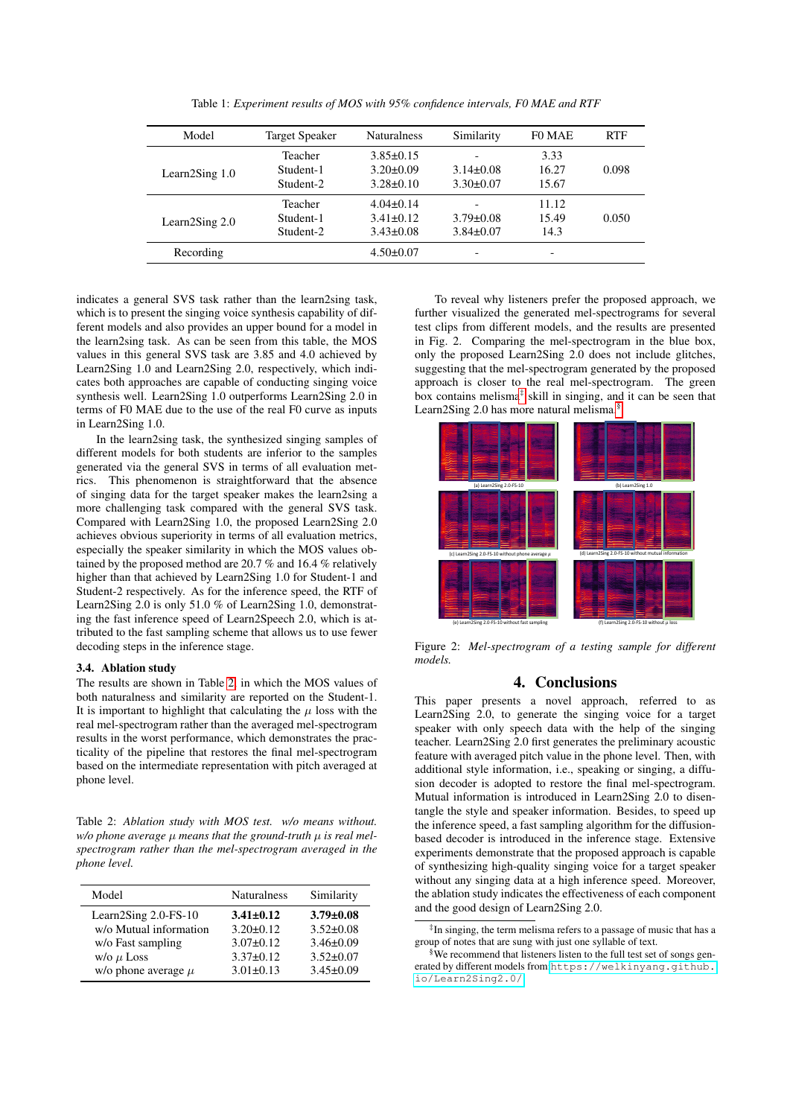<span id="page-3-0"></span>

| Model          | <b>Target Speaker</b> | <b>Naturalness</b> | Similarity      | F0 MAE | <b>RTF</b> |
|----------------|-----------------------|--------------------|-----------------|--------|------------|
|                | Teacher               | $3.85 \pm 0.15$    |                 | 3.33   |            |
| Learn2Sing 1.0 | Student-1             | $3.20 \pm 0.09$    | $3.14\pm0.08$   | 16.27  | 0.098      |
|                | Student-2             | $3.28 \pm 0.10$    | $3.30\pm0.07$   | 15.67  |            |
|                | Teacher               | $4.04\pm0.14$      |                 | 11.12  |            |
| Learn2Sing 2.0 | Student-1             | $3.41 \pm 0.12$    | $3.79 \pm 0.08$ | 15.49  | 0.050      |
|                | Student-2             | $3.43 \pm 0.08$    | $3.84 \pm 0.07$ | 14.3   |            |
| Recording      |                       | $4.50 \pm 0.07$    |                 | ۰      |            |

Table 1: *Experiment results of MOS with 95% confidence intervals, F0 MAE and RTF*

indicates a general SVS task rather than the learn2sing task, which is to present the singing voice synthesis capability of different models and also provides an upper bound for a model in the learn2sing task. As can be seen from this table, the MOS values in this general SVS task are 3.85 and 4.0 achieved by Learn2Sing 1.0 and Learn2Sing 2.0, respectively, which indicates both approaches are capable of conducting singing voice synthesis well. Learn2Sing 1.0 outperforms Learn2Sing 2.0 in terms of F0 MAE due to the use of the real F0 curve as inputs in Learn2Sing 1.0.

In the learn2sing task, the synthesized singing samples of different models for both students are inferior to the samples generated via the general SVS in terms of all evaluation metrics. This phenomenon is straightforward that the absence of singing data for the target speaker makes the learn2sing a more challenging task compared with the general SVS task. Compared with Learn2Sing 1.0, the proposed Learn2Sing 2.0 achieves obvious superiority in terms of all evaluation metrics, especially the speaker similarity in which the MOS values obtained by the proposed method are 20.7 % and 16.4 % relatively higher than that achieved by Learn2Sing 1.0 for Student-1 and Student-2 respectively. As for the inference speed, the RTF of Learn2Sing 2.0 is only 51.0 % of Learn2Sing 1.0, demonstrating the fast inference speed of Learn2Speech 2.0, which is attributed to the fast sampling scheme that allows us to use fewer decoding steps in the inference stage.

### 3.4. Ablation study

The results are shown in Table [2,](#page-3-1) in which the MOS values of both naturalness and similarity are reported on the Student-1. It is important to highlight that calculating the  $\mu$  loss with the real mel-spectrogram rather than the averaged mel-spectrogram results in the worst performance, which demonstrates the practicality of the pipeline that restores the final mel-spectrogram based on the intermediate representation with pitch averaged at phone level.

<span id="page-3-1"></span>Table 2: *Ablation study with MOS test. w/o means without. w/o phone average* µ *means that the ground-truth* µ *is real melspectrogram rather than the mel-spectrogram averaged in the phone level.*

| Model                   | <b>Naturalness</b> | Similarity      |
|-------------------------|--------------------|-----------------|
| Learn2Sing 2.0-FS-10    | $3.41 \pm 0.12$    | $3.79 \pm 0.08$ |
| w/o Mutual information  | $3.20 \pm 0.12$    | $3.52 \pm 0.08$ |
| w/o Fast sampling       | $3.07\pm0.12$      | $3.46 \pm 0.09$ |
| $w/o \mu$ Loss          | $3.37 \pm 0.12$    | $3.52 \pm 0.07$ |
| w/o phone average $\mu$ | $3.01 \pm 0.13$    | $3.45 \pm 0.09$ |

To reveal why listeners prefer the proposed approach, we further visualized the generated mel-spectrograms for several test clips from different models, and the results are presented in Fig. 2. Comparing the mel-spectrogram in the blue box, only the proposed Learn2Sing 2.0 does not include glitches, suggesting that the mel-spectrogram generated by the proposed approach is closer to the real mel-spectrogram. The green box contains melisma[‡](#page-3-2) skill in singing, and it can be seen that Learn2Sing 2.0 has more natural melisma.<sup>[§](#page-3-3)</sup>



Figure 2: *Mel-spectrogram of a testing sample for different models.*

# 4. Conclusions

This paper presents a novel approach, referred to as Learn2Sing 2.0, to generate the singing voice for a target speaker with only speech data with the help of the singing teacher. Learn2Sing 2.0 first generates the preliminary acoustic feature with averaged pitch value in the phone level. Then, with additional style information, i.e., speaking or singing, a diffusion decoder is adopted to restore the final mel-spectrogram. Mutual information is introduced in Learn2Sing 2.0 to disentangle the style and speaker information. Besides, to speed up the inference speed, a fast sampling algorithm for the diffusionbased decoder is introduced in the inference stage. Extensive experiments demonstrate that the proposed approach is capable of synthesizing high-quality singing voice for a target speaker without any singing data at a high inference speed. Moreover, the ablation study indicates the effectiveness of each component and the good design of Learn2Sing 2.0.

<span id="page-3-2"></span><sup>‡</sup> In singing, the term melisma refers to a passage of music that has a group of notes that are sung with just one syllable of text.

<span id="page-3-3"></span><sup>§</sup>We recommend that listeners listen to the full test set of songs generated by different models from:[https://welkinyang.github.](https://welkinyang.github.io/Learn2Sing2.0/) [io/Learn2Sing2.0/](https://welkinyang.github.io/Learn2Sing2.0/)